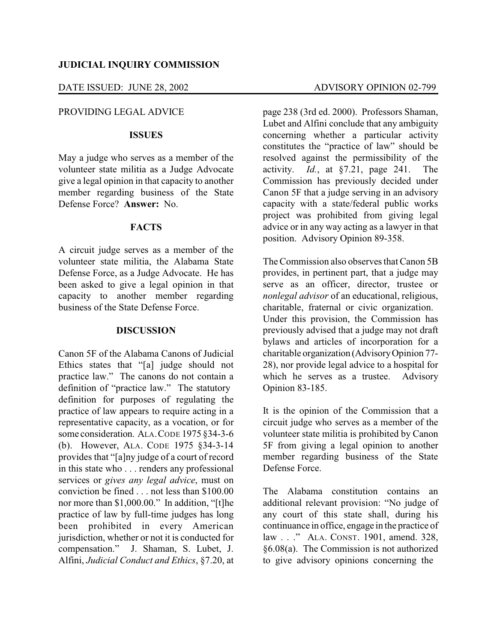## DATE ISSUED: JUNE 28, 2002 ADVISORY OPINION 02-799

## PROVIDING LEGAL ADVICE

### **ISSUES**

May a judge who serves as a member of the volunteer state militia as a Judge Advocate give a legal opinion in that capacity to another member regarding business of the State Defense Force? **Answer:** No.

#### **FACTS**

A circuit judge serves as a member of the volunteer state militia, the Alabama State Defense Force, as a Judge Advocate. He has been asked to give a legal opinion in that capacity to another member regarding business of the State Defense Force.

## **DISCUSSION**

Canon 5F of the Alabama Canons of Judicial Ethics states that "[a] judge should not practice law." The canons do not contain a definition of "practice law." The statutory definition for purposes of regulating the practice of law appears to require acting in a representative capacity, as a vocation, or for some consideration. ALA.CODE 1975 §34-3-6 (b). However, ALA. CODE 1975 §34-3-14 provides that "[a]ny judge of a court of record in this state who . . . renders any professional services or *gives any legal advice*, must on conviction be fined . . . not less than \$100.00 nor more than \$1,000.00." In addition, "[t]he practice of law by full-time judges has long been prohibited in every American jurisdiction, whether or not it is conducted for compensation." J. Shaman, S. Lubet, J. Alfini, *Judicial Conduct and Ethics*, §7.20, at

page 238 (3rd ed. 2000). Professors Shaman, Lubet and Alfini conclude that any ambiguity concerning whether a particular activity constitutes the "practice of law" should be resolved against the permissibility of the activity. *Id.*, at §7.21, page 241. The Commission has previously decided under Canon 5F that a judge serving in an advisory capacity with a state/federal public works project was prohibited from giving legal advice or in any way acting as a lawyer in that position. Advisory Opinion 89-358.

The Commission also observes that Canon 5B provides, in pertinent part, that a judge may serve as an officer, director, trustee or *nonlegal advisor* of an educational, religious, charitable, fraternal or civic organization. Under this provision, the Commission has previously advised that a judge may not draft bylaws and articles of incorporation for a charitable organization (AdvisoryOpinion 77- 28), nor provide legal advice to a hospital for which he serves as a trustee. Advisory Opinion 83-185.

It is the opinion of the Commission that a circuit judge who serves as a member of the volunteer state militia is prohibited by Canon 5F from giving a legal opinion to another member regarding business of the State Defense Force.

The Alabama constitution contains an additional relevant provision: "No judge of any court of this state shall, during his continuance in office, engage in the practice of law . . ." ALA. CONST. 1901, amend. 328, §6.08(a). The Commission is not authorized to give advisory opinions concerning the